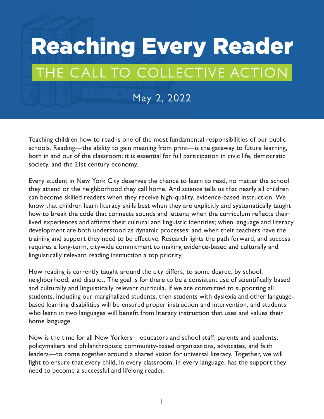## Reaching Every Reader THE CALL TO COLLECTIVE ACTION

May 2, 2022

Teaching children how to read is one of the most fundamental responsibilities of our public schools. Reading—the ability to gain meaning from print—is the gateway to future learning, both in and out of the classroom; it is essential for full participation in civic life, democratic society, and the 21st century economy.

Every student in New York City deserves the chance to learn to read, no matter the school they attend or the neighborhood they call home. And science tells us that nearly all children can become skilled readers when they receive high-quality, evidence-based instruction. We know that children learn literacy skills best when they are explicitly and systematically taught how to break the code that connects sounds and letters; when the curriculum reflects their lived experiences and affirms their cultural and linguistic identities; when language and literacy development are both understood as dynamic processes; and when their teachers have the training and support they need to be effective. Research lights the path forward, and success requires a long-term, citywide commitment to making evidence-based and culturally and linguistically relevant reading instruction a top priority.

How reading is currently taught around the city differs, to some degree, by school, neighborhood, and district. The goal is for there to be a consistent use of scientifically based and culturally and linguistically relevant curricula. If we are committed to supporting all students, including our marginalized students, then students with dyslexia and other languagebased learning disabilities will be ensured proper instruction and intervention, and students who learn in two languages will benefit from literacy instruction that uses and values their home language.

Now is the time for all New Yorkers—educators and school staff; parents and students; policymakers and philanthropists; community-based organizations, advocates, and faith leaders—to come together around a shared vision for universal literacy. Together, we will fight to ensure that every child, in every classroom, in every language, has the support they need to become a successful and lifelong reader.